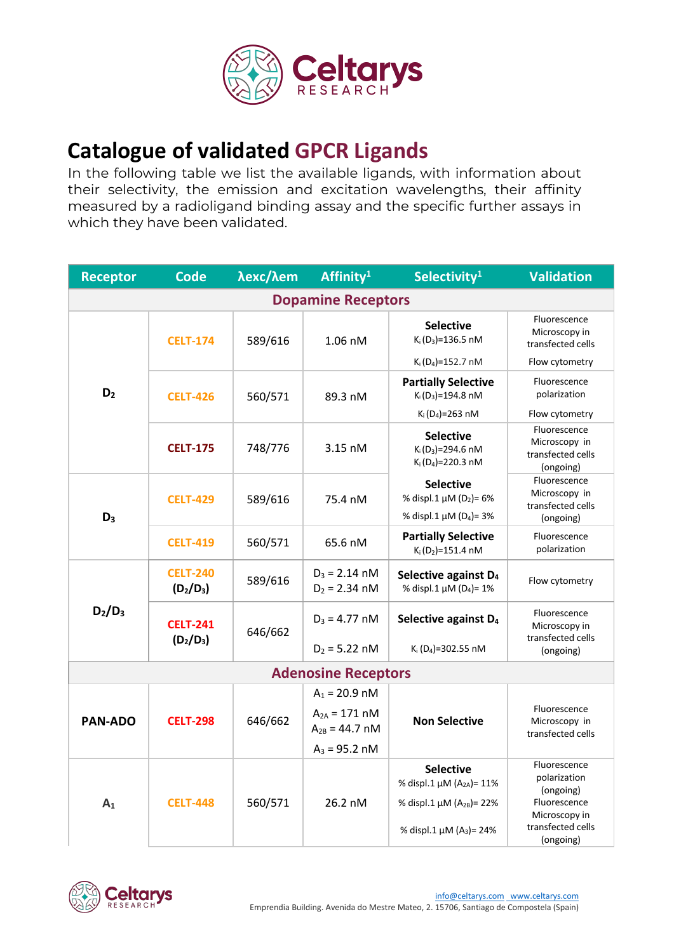

## **Catalogue of validated GPCR Ligands**

In the following table we list the available ligands, with information about their selectivity, the emission and excitation wavelengths, their affinity measured by a radioligand binding assay and the specific further assays in which they have been validated.

| <b>Receptor</b>            | <b>Code</b>                    | λexc/λem | Affinity <sup>1</sup>                   | Selectivity <sup>1</sup>                                                                          | <b>Validation</b>                                               |  |  |  |
|----------------------------|--------------------------------|----------|-----------------------------------------|---------------------------------------------------------------------------------------------------|-----------------------------------------------------------------|--|--|--|
| <b>Dopamine Receptors</b>  |                                |          |                                         |                                                                                                   |                                                                 |  |  |  |
| D <sub>2</sub>             | <b>CELT-174</b>                | 589/616  | 1.06 nM                                 | <b>Selective</b><br>$K_i(D_3) = 136.5$ nM                                                         | Fluorescence<br>Microscopy in<br>transfected cells              |  |  |  |
|                            |                                |          |                                         | $K_i(D_4) = 152.7 \text{ nM}$                                                                     | Flow cytometry                                                  |  |  |  |
|                            | <b>CELT-426</b>                | 560/571  | 89.3 nM                                 | <b>Partially Selective</b><br>$K_i(D_3) = 194.8 \text{ nM}$                                       | Fluorescence<br>polarization                                    |  |  |  |
|                            |                                |          |                                         | $K_i(D_4) = 263$ nM                                                                               | Flow cytometry                                                  |  |  |  |
|                            | <b>CELT-175</b>                | 748/776  | 3.15 nM                                 | <b>Selective</b><br>$K_i(D_3) = 294.6$ nM<br>$K_i(D_4) = 220.3 \text{ nM}$                        | Fluorescence<br>Microscopy in<br>transfected cells<br>(ongoing) |  |  |  |
| $D_3$                      | <b>CELT-429</b>                | 589/616  | 75.4 nM                                 | <b>Selective</b><br>% displ.1 µM (D <sub>2</sub> )= 6%<br>% displ.1 $\mu$ M (D <sub>4</sub> )= 3% | Fluorescence<br>Microscopy in<br>transfected cells<br>(ongoing) |  |  |  |
|                            | <b>CELT-419</b>                | 560/571  | 65.6 nM                                 | <b>Partially Selective</b><br>$K_i(D_2) = 151.4 \text{ nM}$                                       | Fluorescence<br>polarization                                    |  |  |  |
| $D_2/D_3$                  | <b>CELT-240</b><br>$(D_2/D_3)$ | 589/616  | $D_3 = 2.14$ nM<br>$D_2 = 2.34$ nM      | Selective against D <sub>4</sub><br>% displ.1 $\mu$ M (D <sub>4</sub> )= 1%                       | Flow cytometry                                                  |  |  |  |
|                            | <b>CELT-241</b><br>$(D_2/D_3)$ | 646/662  | $D_3 = 4.77$ nM                         | Selective against D <sub>4</sub>                                                                  | Fluorescence<br>Microscopy in<br>transfected cells              |  |  |  |
|                            |                                |          | $D_2 = 5.22$ nM                         | K <sub>i</sub> (D <sub>4</sub> )=302.55 nM                                                        | (ongoing)                                                       |  |  |  |
| <b>Adenosine Receptors</b> |                                |          |                                         |                                                                                                   |                                                                 |  |  |  |
|                            | <b>CELT-298</b>                | 646/662  | $A_1 = 20.9$ nM                         | <b>Non Selective</b>                                                                              |                                                                 |  |  |  |
| <b>PAN-ADO</b>             |                                |          | $A_{2A} = 171 nM$<br>$A_{2B} = 44.7$ nM |                                                                                                   | Fluorescence<br>Microscopy in<br>transfected cells              |  |  |  |
|                            |                                |          | $A_3 = 95.2$ nM                         |                                                                                                   |                                                                 |  |  |  |
| A <sub>1</sub>             | <b>CELT-448</b>                | 560/571  | 26.2 nM                                 | <b>Selective</b><br>% displ.1 μM (A <sub>2A</sub> )= 11%                                          | Fluorescence<br>polarization<br>(ongoing)                       |  |  |  |
|                            |                                |          |                                         | % displ.1 μM (A <sub>2B</sub> )= 22%                                                              | Fluorescence<br>Microscopy in                                   |  |  |  |
|                            |                                |          |                                         | % displ.1 $\mu$ M (A <sub>3</sub> ) = 24%                                                         | transfected cells<br>(ongoing)                                  |  |  |  |

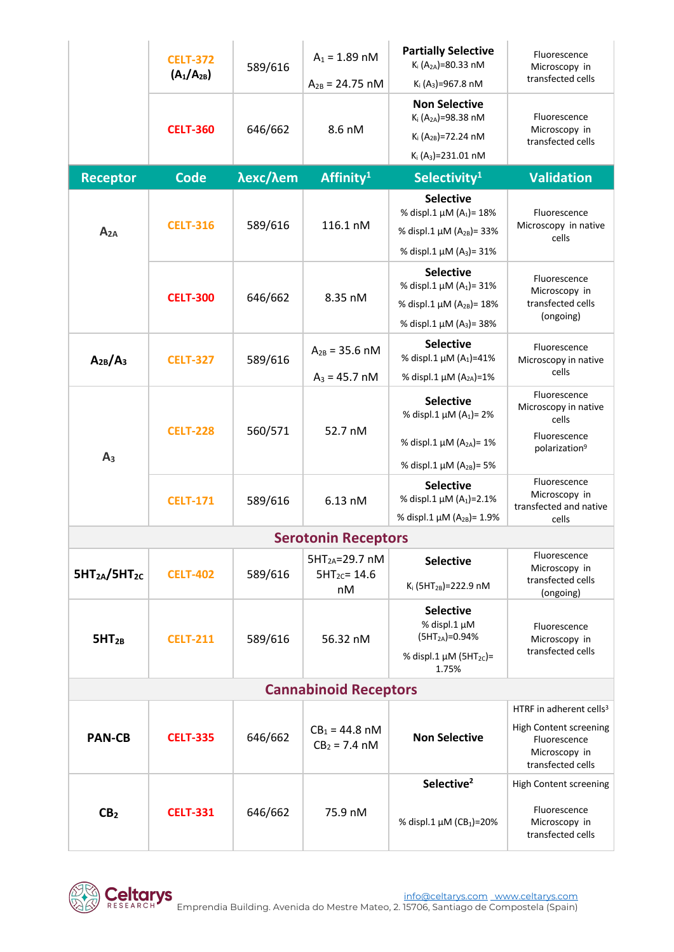|                                      | <b>CELT-372</b><br>$(A_1/A_{2B})$ | 589/616  | $A_1 = 1.89$ nM                            | <b>Partially Selective</b><br>K <sub>i</sub> (A <sub>2A</sub> )=80.33 nM | Fluorescence<br>Microscopy in                                                |  |  |
|--------------------------------------|-----------------------------------|----------|--------------------------------------------|--------------------------------------------------------------------------|------------------------------------------------------------------------------|--|--|
|                                      |                                   |          | $A_{2B} = 24.75$ nM                        | $K_i$ (A <sub>3</sub> )=967.8 nM                                         | transfected cells                                                            |  |  |
|                                      | <b>CELT-360</b>                   | 646/662  | 8.6 nM                                     | <b>Non Selective</b><br>K <sub>i</sub> (A <sub>2A</sub> )=98.38 nM       | Fluorescence<br>Microscopy in<br>transfected cells                           |  |  |
|                                      |                                   |          |                                            | K <sub>i</sub> (A <sub>2B</sub> )=72.24 nM                               |                                                                              |  |  |
|                                      |                                   |          |                                            | $K_i(A_3) = 231.01$ nM                                                   |                                                                              |  |  |
| <b>Receptor</b>                      | <b>Code</b>                       | λexc/λem | Affinity <sup>1</sup>                      | Selectivity <sup>1</sup>                                                 | <b>Validation</b>                                                            |  |  |
|                                      | <b>CELT-316</b>                   | 589/616  | 116.1 nM                                   | <b>Selective</b><br>% displ.1 μM (A <sub>1</sub> )= 18%                  | Fluorescence<br>Microscopy in native<br>cells                                |  |  |
| $A_{2A}$                             |                                   |          |                                            | % displ.1 $\mu$ M (A <sub>2B</sub> ) = 33%                               |                                                                              |  |  |
|                                      |                                   |          |                                            | % displ.1 µM (A <sub>3</sub> )= 31%                                      |                                                                              |  |  |
|                                      |                                   |          |                                            | <b>Selective</b>                                                         |                                                                              |  |  |
|                                      |                                   |          |                                            | % displ.1 µM (A <sub>1</sub> )= 31%                                      | Fluorescence<br>Microscopy in<br>transfected cells<br>(ongoing)              |  |  |
|                                      | <b>CELT-300</b>                   | 646/662  | 8.35 nM                                    | % displ.1 μM (A <sub>2B</sub> )= 18%                                     |                                                                              |  |  |
|                                      |                                   |          |                                            | % displ.1 µM (A <sub>3</sub> )= 38%                                      |                                                                              |  |  |
| $A_{2B}/A_3$                         | <b>CELT-327</b>                   | 589/616  | $A_{2B} = 35.6$ nM                         | <b>Selective</b><br>% displ.1 $\mu$ M (A <sub>1</sub> )=41%              | Fluorescence<br>Microscopy in native<br>cells                                |  |  |
|                                      |                                   |          | $A_3 = 45.7$ nM                            | % displ.1 μM (A <sub>2A</sub> )=1%                                       |                                                                              |  |  |
|                                      | <b>CELT-228</b>                   | 560/571  | 52.7 nM                                    | <b>Selective</b><br>% displ.1 $\mu$ M (A <sub>1</sub> )= 2%              | Fluorescence<br>Microscopy in native<br>cells                                |  |  |
|                                      |                                   |          |                                            | % displ.1 $\mu$ M (A <sub>2A</sub> )= 1%                                 | Fluorescence<br>polarization <sup>9</sup>                                    |  |  |
| A <sub>3</sub>                       |                                   |          |                                            | % displ.1 µM (A <sub>2B</sub> )= 5%                                      |                                                                              |  |  |
|                                      | <b>CELT-171</b>                   | 589/616  | 6.13 nM                                    | <b>Selective</b><br>% displ.1 μM (A <sub>1</sub> )=2.1%                  | Fluorescence<br>Microscopy in<br>transfected and native                      |  |  |
|                                      |                                   |          |                                            | % displ.1 μM (A <sub>2B</sub> )= 1.9%                                    | cells                                                                        |  |  |
|                                      |                                   |          | <b>Serotonin Receptors</b>                 |                                                                          | Fluorescence                                                                 |  |  |
| 5HT <sub>2A</sub> /5HT <sub>2C</sub> | <b>CELT-402</b>                   | 589/616  | $5HT2A=29.7 nM$<br>$5HT_{2C} = 14.6$<br>nM | <b>Selective</b><br>$K_i$ (5HT <sub>2B</sub> )=222.9 nM                  | Microscopy in<br>transfected cells                                           |  |  |
|                                      |                                   |          |                                            |                                                                          | (ongoing)                                                                    |  |  |
|                                      | <b>CELT-211</b>                   | 589/616  | 56.32 nM                                   | <b>Selective</b><br>% displ.1 µM                                         | Fluorescence                                                                 |  |  |
| $5HT_{2B}$                           |                                   |          |                                            | $(5HT2A) = 0.94%$                                                        | Microscopy in                                                                |  |  |
|                                      |                                   |          |                                            | % displ.1 $\mu$ M (5HT <sub>2C</sub> )=<br>1.75%                         | transfected cells                                                            |  |  |
| <b>Cannabinoid Receptors</b>         |                                   |          |                                            |                                                                          |                                                                              |  |  |
|                                      |                                   |          |                                            |                                                                          | HTRF in adherent cells <sup>3</sup>                                          |  |  |
| <b>PAN-CB</b>                        | <b>CELT-335</b>                   | 646/662  | $CB_1 = 44.8$ nM<br>$CB2 = 7.4$ nM         | <b>Non Selective</b>                                                     | High Content screening<br>Fluorescence<br>Microscopy in<br>transfected cells |  |  |
|                                      |                                   |          |                                            | Selective <sup>2</sup>                                                   | High Content screening                                                       |  |  |
| CB <sub>2</sub>                      | <b>CELT-331</b>                   | 646/662  | 75.9 nM                                    | % displ.1 μM (CB <sub>1</sub> )=20%                                      | Fluorescence<br>Microscopy in<br>transfected cells                           |  |  |